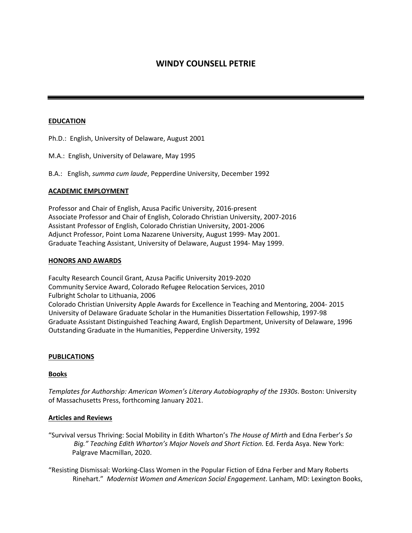# **WINDY COUNSELL PETRIE**

## **EDUCATION**

Ph.D.: English, University of Delaware, August 2001

M.A.: English, University of Delaware, May 1995

B.A.: English, *summa cum laude*, Pepperdine University, December 1992

# **ACADEMIC EMPLOYMENT**

Professor and Chair of English, Azusa Pacific University, 2016-present Associate Professor and Chair of English, Colorado Christian University, 2007-2016 Assistant Professor of English, Colorado Christian University, 2001-2006 Adjunct Professor, Point Loma Nazarene University, August 1999- May 2001. Graduate Teaching Assistant, University of Delaware, August 1994- May 1999.

#### **HONORS AND AWARDS**

Faculty Research Council Grant, Azusa Pacific University 2019-2020 Community Service Award, Colorado Refugee Relocation Services, 2010 Fulbright Scholar to Lithuania, 2006 Colorado Christian University Apple Awards for Excellence in Teaching and Mentoring, 2004- 2015 University of Delaware Graduate Scholar in the Humanities Dissertation Fellowship, 1997-98 Graduate Assistant Distinguished Teaching Award, English Department, University of Delaware, 1996 Outstanding Graduate in the Humanities, Pepperdine University, 1992

#### **PUBLICATIONS**

#### **Books**

*Templates for Authorship: American Women's Literary Autobiography of the 1930s*. Boston: University of Massachusetts Press, forthcoming January 2021.

#### **Articles and Reviews**

- "Survival versus Thriving: Social Mobility in Edith Wharton's *The House of Mirth* and Edna Ferber's *So Big." Teaching Edith Wharton's Major Novels and Short Fiction.* Ed. Ferda Asya. New York: Palgrave Macmillan, 2020.
- "Resisting Dismissal: Working-Class Women in the Popular Fiction of Edna Ferber and Mary Roberts Rinehart." *Modernist Women and American Social Engagement*. Lanham, MD: Lexington Books,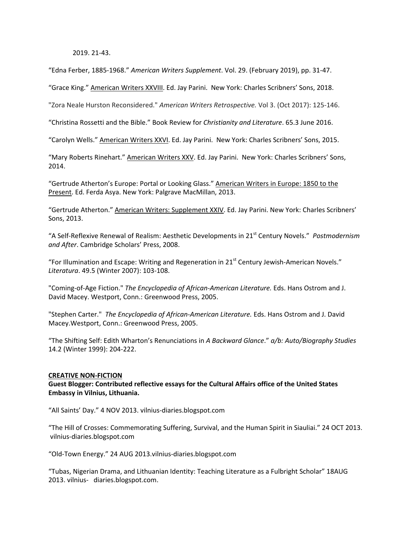2019. 21-43.

"Edna Ferber, 1885-1968." *American Writers Supplement*. Vol. 29. (February 2019), pp. 31-47.

"Grace King." American Writers XXVIII. Ed. Jay Parini. New York: Charles Scribners' Sons, 2018.

"Zora Neale Hurston Reconsidered." *American Writers Retrospective.* Vol 3. (Oct 2017): 125-146.

"Christina Rossetti and the Bible." Book Review for *Christianity and Literature*. 65.3 June 2016.

"Carolyn Wells." American Writers XXVI. Ed. Jay Parini. New York: Charles Scribners' Sons, 2015.

"Mary Roberts Rinehart." American Writers XXV. Ed. Jay Parini. New York: Charles Scribners' Sons, 2014.

"Gertrude Atherton's Europe: Portal or Looking Glass." American Writers in Europe: 1850 to the Present. Ed. Ferda Asya. New York: Palgrave MacMillan, 2013.

"Gertrude Atherton." American Writers: Supplement XXIV. Ed. Jay Parini. New York: Charles Scribners' Sons, 2013.

"A Self-Reflexive Renewal of Realism: Aesthetic Developments in 21st Century Novels." *Postmodernism and After*. Cambridge Scholars' Press, 2008.

"For Illumination and Escape: Writing and Regeneration in  $21<sup>st</sup>$  Century Jewish-American Novels." *Literatura*. 49.5 (Winter 2007): 103-108.

"Coming-of-Age Fiction." *The Encyclopedia of African-American Literature.* Eds. Hans Ostrom and J. David Macey. Westport, Conn.: Greenwood Press, 2005.

"Stephen Carter." *The Encyclopedia of African-American Literature.* Eds. Hans Ostrom and J. David Macey.Westport, Conn.: Greenwood Press, 2005.

"The Shifting Self: Edith Wharton's Renunciations in *A Backward Glance*." *a/b: Auto/Biography Studies*  14.2 (Winter 1999): 204-222.

#### **CREATIVE NON-FICTION**

**Guest Blogger: Contributed reflective essays for the Cultural Affairs office of the United States Embassy in Vilnius, Lithuania.** 

"All Saints' Day." 4 NOV 2013. vilnius-diaries.blogspot.com

"The Hill of Crosses: Commemorating Suffering, Survival, and the Human Spirit in Siauliai." 24 OCT 2013. vilnius-diaries.blogspot.com

"Old-Town Energy." 24 AUG 2013.vilnius-diaries.blogspot.com

"Tubas, Nigerian Drama, and Lithuanian Identity: Teaching Literature as a Fulbright Scholar" 18AUG 2013. vilnius- diaries.blogspot.com.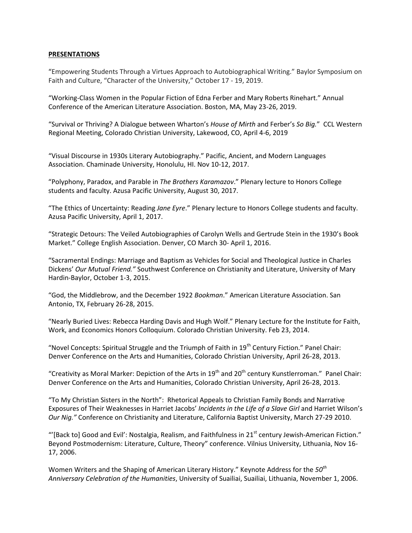## **PRESENTATIONS**

"Empowering Students Through a Virtues Approach to Autobiographical Writing." Baylor Symposium on Faith and Culture, "Character of the University," October 17 - 19, 2019.

"Working-Class Women in the Popular Fiction of Edna Ferber and Mary Roberts Rinehart." Annual Conference of the American Literature Association. Boston, MA, May 23-26, 2019.

"Survival or Thriving? A Dialogue between Wharton's *House of Mirth* and Ferber's *So Big.*" CCL Western Regional Meeting, Colorado Christian University, Lakewood, CO, April 4-6, 2019

"Visual Discourse in 1930s Literary Autobiography." Pacific, Ancient, and Modern Languages Association. Chaminade University, Honolulu, HI. Nov 10-12, 2017.

"Polyphony, Paradox, and Parable in *The Brothers Karamazov*." Plenary lecture to Honors College students and faculty. Azusa Pacific University, August 30, 2017.

"The Ethics of Uncertainty: Reading *Jane Eyre*." Plenary lecture to Honors College students and faculty. Azusa Pacific University, April 1, 2017.

"Strategic Detours: The Veiled Autobiographies of Carolyn Wells and Gertrude Stein in the 1930's Book Market." College English Association. Denver, CO March 30- April 1, 2016.

"Sacramental Endings: Marriage and Baptism as Vehicles for Social and Theological Justice in Charles Dickens' *Our Mutual Friend."* Southwest Conference on Christianity and Literature, University of Mary Hardin-Baylor, October 1-3, 2015.

"God, the Middlebrow, and the December 1922 *Bookman*." American Literature Association. San Antonio, TX, February 26-28, 2015.

"Nearly Buried Lives: Rebecca Harding Davis and Hugh Wolf." Plenary Lecture for the Institute for Faith, Work, and Economics Honors Colloquium. Colorado Christian University. Feb 23, 2014.

"Novel Concepts: Spiritual Struggle and the Triumph of Faith in  $19<sup>th</sup>$  Century Fiction." Panel Chair: Denver Conference on the Arts and Humanities, Colorado Christian University, April 26-28, 2013.

"Creativity as Moral Marker: Depiction of the Arts in  $19<sup>th</sup>$  and  $20<sup>th</sup>$  century Kunstlerroman." Panel Chair: Denver Conference on the Arts and Humanities, Colorado Christian University, April 26-28, 2013.

"To My Christian Sisters in the North": Rhetorical Appeals to Christian Family Bonds and Narrative Exposures of Their Weaknesses in Harriet Jacobs' *Incidents in the Life of a Slave Girl* and Harriet Wilson's *Our Nig."* Conference on Christianity and Literature, California Baptist University, March 27-29 2010.

"'[Back to] Good and Evil': Nostalgia, Realism, and Faithfulness in 21<sup>st</sup> century Jewish-American Fiction." Beyond Postmodernism: Literature, Culture, Theory" conference. Vilnius University, Lithuania, Nov 16- 17, 2006.

Women Writers and the Shaping of American Literary History." Keynote Address for the *50th Anniversary Celebration of the Humanities*, University of Suailiai, Suailiai, Lithuania, November 1, 2006.